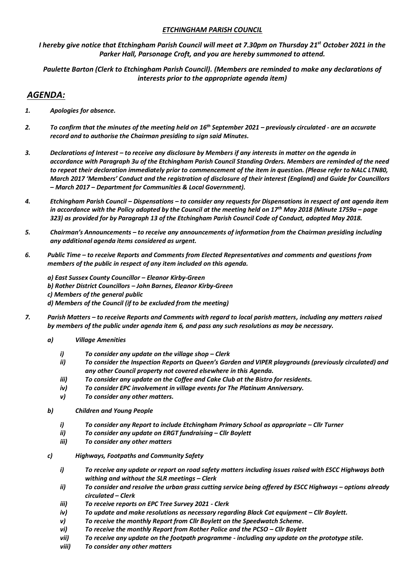## *ETCHINGHAM PARISH COUNCIL*

*I hereby give notice that Etchingham Parish Council will meet at 7.30pm on Thursday 21st October 2021 in the Parker Hall, Parsonage Croft, and you are hereby summoned to attend.*

*Paulette Barton (Clerk to Etchingham Parish Council). (Members are reminded to make any declarations of interests prior to the appropriate agenda item)*

## *AGENDA:*

- *1. Apologies for absence.*
- *2. To confirm that the minutes of the meeting held on 16th September 2021 – previously circulated - are an accurate record and to authorise the Chairman presiding to sign said Minutes.*
- *3. Declarations of Interest – to receive any disclosure by Members if any interests in matter on the agenda in accordance with Paragraph 3u of the Etchingham Parish Council Standing Orders. Members are reminded of the need to repeat their declaration immediately prior to commencement of the item in question. (Please refer to NALC LTN80, March 2017 'Members' Conduct and the registration of disclosure of their interest (England) and Guide for Councillors – March 2017 – Department for Communities & Local Government).*
- *4. Etchingham Parish Council – Dispensations – to consider any requests for Dispensations in respect of ant agenda item in accordance with the Policy adopted by the Council at the meeting held on 17th May 2018 (Minute 1759a – page 323) as provided for by Paragraph 13 of the Etchingham Parish Council Code of Conduct, adopted May 2018.*
- *5. Chairman's Announcements – to receive any announcements of information from the Chairman presiding including any additional agenda items considered as urgent.*
- *6. Public Time – to receive Reports and Comments from Elected Representatives and comments and questions from members of the public in respect of any item included on this agenda.*

*a) East Sussex County Councillor – Eleanor Kirby-Green b) Rother District Councillors – John Barnes, Eleanor Kirby-Green c) Members of the general public d) Members of the Council (if to be excluded from the meeting)*

- *7. Parish Matters – to receive Reports and Comments with regard to local parish matters, including any matters raised by members of the public under agenda item 6, and pass any such resolutions as may be necessary.*
	- *a) Village Amenities*
		- *i*) *To consider any update on the village shop Clerk*
		- *ii) To consider the Inspection Reports on Queen's Garden and VIPER playgrounds (previously circulated) and any other Council property not covered elsewhere in this Agenda.*
		- *iii) To consider any update on the Coffee and Cake Club at the Bistro for residents.*
		- *iv) To consider EPC involvement in village events for The Platinum Anniversary.*
		- *v) To consider any other matters.*
	- *b) Children and Young People*
		- *i*) *To consider any Report to include Etchingham Primary School as appropriate Cllr Turner*
		- *ii) To consider any update on ERGT fundraising – Cllr Boylett*
		- *iii) To consider any other matters*
	- *c) Highways, Footpaths and Community Safety*
		- *i) To receive any update or report on road safety matters including issues raised with ESCC Highways both withing and without the SLR meetings – Clerk*
		- *ii*) To consider and resolve the urban grass cutting service being offered by ESCC Highways options already *circulated – Clerk*
		- *iii) To receive reports on EPC Tree Survey 2021 - Clerk*
		- *iv*) To update and make resolutions as necessary regarding Black Cat equipment Cllr Boylett.
		- *v) To receive the monthly Report from Cllr Boylett on the Speedwatch Scheme.*
		- *vi*) *To receive the monthly Report from Rother Police and the PCSO Cllr Boylett*
		- *vii) To receive any update on the footpath programme - including any update on the prototype stile.*
		- *viii) To consider any other matters*